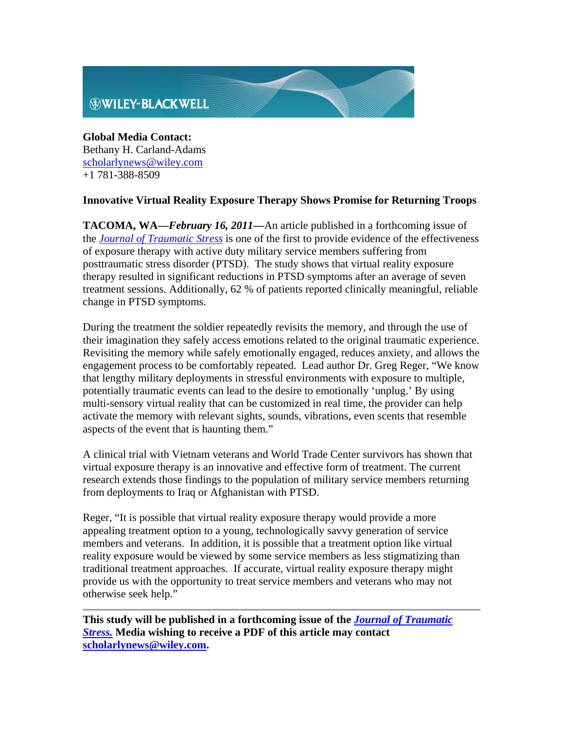

**Global Media Contact:** Bethany H. Carland-Adams scholarlynews@wiley.com +1 781-388-8509

## **Innovative Virtual Reality Exposure Therapy Shows Promise for Returning Troops**

**TACOMA, WA—***February 16, 2011***—**An article published in a forthcoming issue of the *Journal of Traumatic Stress* is one of the first to provide evidence of the effectiveness of exposure therapy with active duty military service members suffering from posttraumatic stress disorder (PTSD). The study shows that virtual reality exposure therapy resulted in significant reductions in PTSD symptoms after an average of seven treatment sessions. Additionally, 62 % of patients reported clinically meaningful, reliable change in PTSD symptoms.

During the treatment the soldier repeatedly revisits the memory, and through the use of their imagination they safely access emotions related to the original traumatic experience. Revisiting the memory while safely emotionally engaged, reduces anxiety, and allows the engagement process to be comfortably repeated. Lead author Dr. Greg Reger, "We know that lengthy military deployments in stressful environments with exposure to multiple, potentially traumatic events can lead to the desire to emotionally 'unplug.' By using multi-sensory virtual reality that can be customized in real time, the provider can help activate the memory with relevant sights, sounds, vibrations, even scents that resemble aspects of the event that is haunting them."

A clinical trial with Vietnam veterans and World Trade Center survivors has shown that virtual exposure therapy is an innovative and effective form of treatment. The current research extends those findings to the population of military service members returning from deployments to Iraq or Afghanistan with PTSD.

Reger, "It is possible that virtual reality exposure therapy would provide a more appealing treatment option to a young, technologically savvy generation of service members and veterans. In addition, it is possible that a treatment option like virtual reality exposure would be viewed by some service members as less stigmatizing than traditional treatment approaches. If accurate, virtual reality exposure therapy might provide us with the opportunity to treat service members and veterans who may not otherwise seek help."

**This study will be published in a forthcoming issue of the** *Journal of Traumatic Stress.* **Media wishing to receive a PDF of this article may contact scholarlynews@wiley.com.**